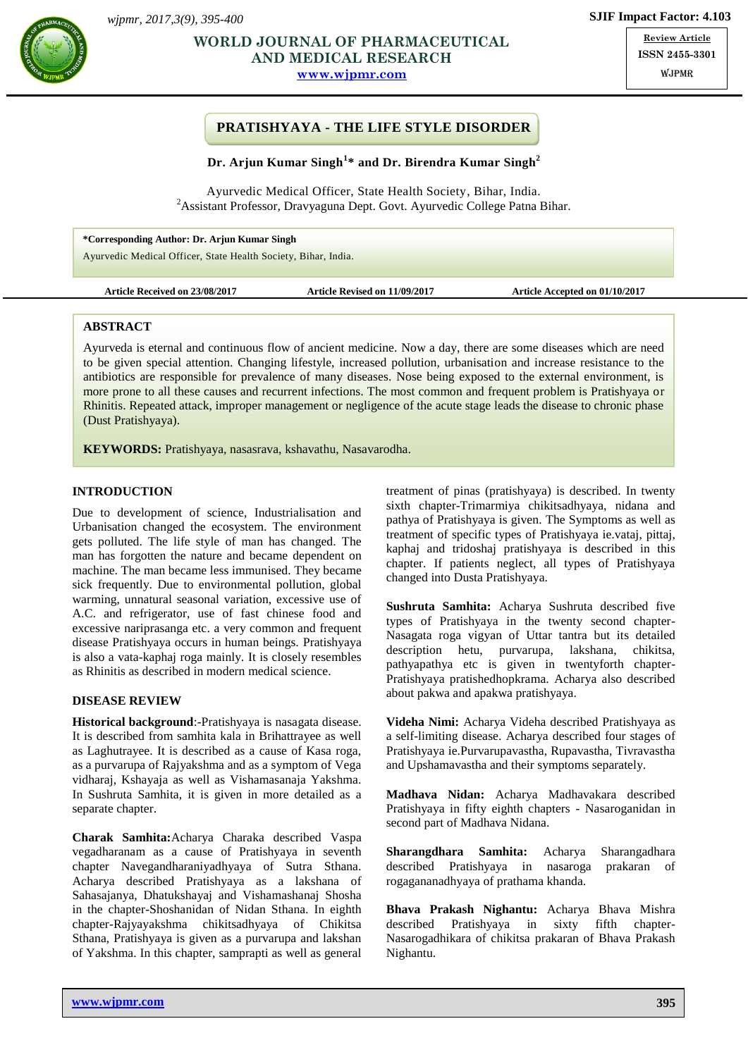

# **AND MEDICAL RESEARCH** ISSN **WORLD JOURNAL OF PHARMACEUTICAL**

**[www.wjpmr.com](http://www.wjpmr.com/)**

**Review Article ISSN 2455-3301** WJPMR

# **PRATISHYAYA - THE LIFE STYLE DISORDER**

### **Dr. Arjun Kumar Singh<sup>1</sup> \* and Dr. Birendra Kumar Singh<sup>2</sup>**

Ayurvedic Medical Officer, State Health Society, Bihar, India. <sup>2</sup> Assistant Professor, Dravyaguna Dept. Govt. Ayurvedic College Patna Bihar.

**\*Corresponding Author: Dr. Arjun Kumar Singh** Ayurvedic Medical Officer, State Health Society, Bihar, India.

**Article Received on 23/08/2017 Article Revised on 11/09/2017 Article Accepted on 01/10/2017**

### **ABSTRACT**

Ayurveda is eternal and continuous flow of ancient medicine. Now a day, there are some diseases which are need to be given special attention. Changing lifestyle, increased pollution, urbanisation and increase resistance to the antibiotics are responsible for prevalence of many diseases. Nose being exposed to the external environment, is more prone to all these causes and recurrent infections. The most common and frequent problem is Pratishyaya or Rhinitis. Repeated attack, improper management or negligence of the acute stage leads the disease to chronic phase (Dust Pratishyaya).

**KEYWORDS:** Pratishyaya, nasasrava, kshavathu, Nasavarodha.

# **INTRODUCTION**

Due to development of science, Industrialisation and Urbanisation changed the ecosystem. The environment gets polluted. The life style of man has changed. The man has forgotten the nature and became dependent on machine. The man became less immunised. They became sick frequently. Due to environmental pollution, global warming, unnatural seasonal variation, excessive use of A.C. and refrigerator, use of fast chinese food and excessive nariprasanga etc. a very common and frequent disease Pratishyaya occurs in human beings. Pratishyaya is also a vata-kaphaj roga mainly. It is closely resembles as Rhinitis as described in modern medical science.

### **DISEASE REVIEW**

**Historical background**:-Pratishyaya is nasagata disease. It is described from samhita kala in Brihattrayee as well as Laghutrayee. It is described as a cause of Kasa roga, as a purvarupa of Rajyakshma and as a symptom of Vega vidharaj, Kshayaja as well as Vishamasanaja Yakshma. In Sushruta Samhita, it is given in more detailed as a separate chapter.

**Charak Samhita:**Acharya Charaka described Vaspa vegadharanam as a cause of Pratishyaya in seventh chapter Navegandharaniyadhyaya of Sutra Sthana. Acharya described Pratishyaya as a lakshana of Sahasajanya, Dhatukshayaj and Vishamashanaj Shosha in the chapter-Shoshanidan of Nidan Sthana. In eighth chapter-Rajyayakshma chikitsadhyaya of Chikitsa Sthana, Pratishyaya is given as a purvarupa and lakshan of Yakshma. In this chapter, samprapti as well as general

treatment of pinas (pratishyaya) is described. In twenty sixth chapter-Trimarmiya chikitsadhyaya, nidana and pathya of Pratishyaya is given. The Symptoms as well as treatment of specific types of Pratishyaya ie.vataj, pittaj, kaphaj and tridoshaj pratishyaya is described in this chapter. If patients neglect, all types of Pratishyaya changed into Dusta Pratishyaya.

**Sushruta Samhita:** Acharya Sushruta described five types of Pratishyaya in the twenty second chapter-Nasagata roga vigyan of Uttar tantra but its detailed description hetu, purvarupa, lakshana, chikitsa, pathyapathya etc is given in twentyforth chapter-Pratishyaya pratishedhopkrama. Acharya also described about pakwa and apakwa pratishyaya.

**Videha Nimi:** Acharya Videha described Pratishyaya as a self-limiting disease. Acharya described four stages of Pratishyaya ie.Purvarupavastha, Rupavastha, Tivravastha and Upshamavastha and their symptoms separately.

**Madhava Nidan:** Acharya Madhavakara described Pratishyaya in fifty eighth chapters - Nasaroganidan in second part of Madhava Nidana.

**Sharangdhara Samhita:** Acharya Sharangadhara described Pratishyaya in nasaroga prakaran of rogagananadhyaya of prathama khanda.

**Bhava Prakash Nighantu:** Acharya Bhava Mishra described Pratishyaya in sixty fifth chapter-Nasarogadhikara of chikitsa prakaran of Bhava Prakash Nighantu.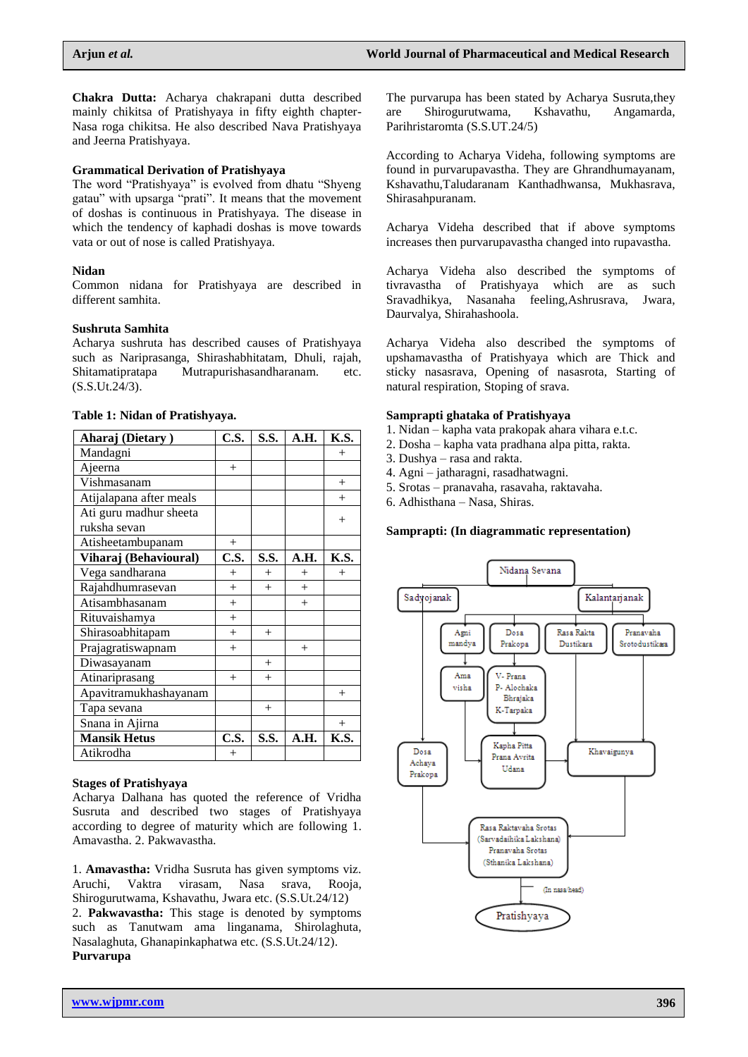**Chakra Dutta:** Acharya chakrapani dutta described mainly chikitsa of Pratishyaya in fifty eighth chapter-Nasa roga chikitsa. He also described Nava Pratishyaya and Jeerna Pratishyaya.

### **Grammatical Derivation of Pratishyaya**

The word "Pratishyaya" is evolved from dhatu "Shyeng gatau" with upsarga "prati". It means that the movement of doshas is continuous in Pratishyaya. The disease in which the tendency of kaphadi doshas is move towards vata or out of nose is called Pratishyaya.

### **Nidan**

Common nidana for Pratishyaya are described in different samhita.

### **Sushruta Samhita**

Acharya sushruta has described causes of Pratishyaya such as Nariprasanga, Shirashabhitatam, Dhuli, rajah, Shitamatipratapa Mutrapurishasandharanam. etc. (S.S.Ut.24/3).

| Aharaj (Dietary)                   | C.S.   | S.S. | A.H. | K.S.   |
|------------------------------------|--------|------|------|--------|
| Mandagni                           |        |      |      | $^{+}$ |
| Ajeerna                            | $^{+}$ |      |      |        |
| $\overline{\mathrm{V}}$ ishmasanam |        |      |      | $+$    |
| Atijalapana after meals            |        |      |      | $^{+}$ |
| Ati guru madhur sheeta             |        |      |      | $^{+}$ |
| ruksha sevan                       |        |      |      |        |
| Atisheetambupanam                  | $^{+}$ |      |      |        |
| Viharaj (Behavioural)              | C.S.   | S.S. | A.H. | K.S.   |
| Vega sandharana                    | $+$    | $+$  | $+$  | $^{+}$ |
| Rajahdhumrasevan                   | $+$    | $+$  | $+$  |        |
| Atisambhasanam                     | $+$    |      | $+$  |        |
| Rituvaishamya                      | $+$    |      |      |        |
| Shirasoabhitapam                   | $+$    | $+$  |      |        |
| Prajagratiswapnam                  | $+$    |      | $+$  |        |
| Diwasayanam                        |        | $+$  |      |        |
| Atinariprasang                     | $^{+}$ | $+$  |      |        |
| Apavitramukhashayanam              |        |      |      | $^{+}$ |
| Tapa sevana                        |        | $+$  |      |        |
| Snana in Ajirna                    |        |      |      | $+$    |
| <b>Mansik Hetus</b>                | C.S.   | S.S. | A.H. | K.S.   |
| Atikrodha                          | $^{+}$ |      |      |        |

#### **Table 1: Nidan of Pratishyaya.**

### **Stages of Pratishyaya**

Acharya Dalhana has quoted the reference of Vridha Susruta and described two stages of Pratishyaya according to degree of maturity which are following 1. Amavastha. 2. Pakwavastha.

1. **Amavastha:** Vridha Susruta has given symptoms viz. Aruchi, Vaktra virasam, Nasa srava, Rooja, Shirogurutwama, Kshavathu, Jwara etc. (S.S.Ut.24/12) 2. **Pakwavastha:** This stage is denoted by symptoms such as Tanutwam ama linganama, Shirolaghuta, Nasalaghuta, Ghanapinkaphatwa etc. (S.S.Ut.24/12). **Purvarupa**

The purvarupa has been stated by Acharya Susruta,they are Shirogurutwama, Kshavathu, Angamarda, Parihristaromta (S.S.UT.24/5)

According to Acharya Videha, following symptoms are found in purvarupavastha. They are Ghrandhumayanam, Kshavathu,Taludaranam Kanthadhwansa, Mukhasrava, Shirasahpuranam.

Acharya Videha described that if above symptoms increases then purvarupavastha changed into rupavastha.

Acharya Videha also described the symptoms of tivravastha of Pratishyaya which are as such Sravadhikya, Nasanaha feeling,Ashrusrava, Jwara, Daurvalya, Shirahashoola.

Acharya Videha also described the symptoms of upshamavastha of Pratishyaya which are Thick and sticky nasasrava, Opening of nasasrota, Starting of natural respiration, Stoping of srava.

#### **Samprapti ghataka of Pratishyaya**

- 1. Nidan kapha vata prakopak ahara vihara e.t.c.
- 2. Dosha kapha vata pradhana alpa pitta, rakta.
- 3. Dushya rasa and rakta.
- 4. Agni jatharagni, rasadhatwagni.
- 5. Srotas pranavaha, rasavaha, raktavaha.
- 6. Adhisthana Nasa, Shiras.

#### **Samprapti: (In diagrammatic representation)**

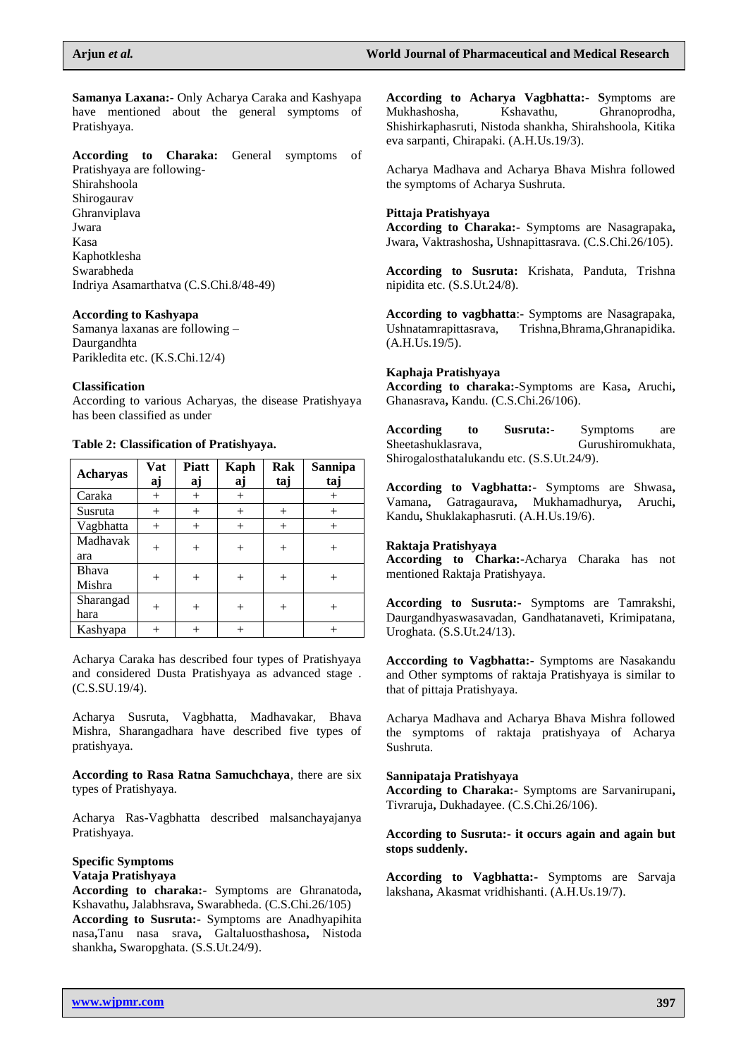**Samanya Laxana:-** Only Acharya Caraka and Kashyapa have mentioned about the general symptoms of Pratishyaya.

**According to Charaka:** General symptoms of

Pratishyaya are following-Shirahshoola Shirogaurav Ghranviplava Jwara Kasa Kaphotklesha Swarabheda Indriya Asamarthatva (C.S.Chi.8/48-49)

### **According to Kashyapa**

Samanya laxanas are following – Daurgandhta Parikledita etc. (K.S.Chi.12/4)

# **Classification**

According to various Acharyas, the disease Pratishyaya has been classified as under

# **Table 2: Classification of Pratishyaya.**

| <b>Acharyas</b>   | Vat<br>aj | <b>Piatt</b><br>aj | <b>Kaph</b><br>aj | Rak<br>taj | Sannipa<br>taj |
|-------------------|-----------|--------------------|-------------------|------------|----------------|
| Caraka            | $^{+}$    | $^{+}$             |                   |            | $^+$           |
| Susruta           | $^{+}$    | $^{+}$             | $^{+}$            | $^{+}$     | $^{+}$         |
| Vagbhatta         | $^{+}$    | $^{+}$             | $^{+}$            | $^{+}$     | $^{+}$         |
| Madhavak<br>ara   | $^{+}$    | $\overline{+}$     |                   | $\, +$     |                |
| Bhava<br>Mishra   | $^{+}$    | $\! +$             |                   | $^+$       |                |
| Sharangad<br>hara |           | $^+$               |                   | $^+$       |                |
| Kashyapa          |           |                    |                   |            |                |

Acharya Caraka has described four types of Pratishyaya and considered Dusta Pratishyaya as advanced stage . (C.S.SU.19/4).

Acharya Susruta, Vagbhatta, Madhavakar, Bhava Mishra, Sharangadhara have described five types of pratishyaya.

**According to Rasa Ratna Samuchchaya**, there are six types of Pratishyaya.

Acharya Ras-Vagbhatta described malsanchayajanya Pratishyaya.

#### **Specific Symptoms Vataja Pratishyaya**

**According to charaka:-** Symptoms are Ghranatoda**,**  Kshavathu**,** Jalabhsrava**,** Swarabheda. (C.S.Chi.26/105) **According to Susruta:-** Symptoms are Anadhyapihita nasa**,**Tanu nasa srava**,** Galtaluosthashosa**,** Nistoda shankha**,** Swaropghata. (S.S.Ut.24/9).

**According to Acharya Vagbhatta:- S**ymptoms are Mukhashosha, Kshavathu, Ghranoprodha, Shishirkaphasruti, Nistoda shankha, Shirahshoola, Kitika eva sarpanti, Chirapaki. (A.H.Us.19/3).

Acharya Madhava and Acharya Bhava Mishra followed the symptoms of Acharya Sushruta.

### **Pittaja Pratishyaya**

**According to Charaka:-** Symptoms are Nasagrapaka**,**  Jwara**,** Vaktrashosha**,** Ushnapittasrava. (C.S.Chi.26/105).

**According to Susruta:** Krishata, Panduta, Trishna nipidita etc. (S.S.Ut.24/8).

**According to vagbhatta**:- Symptoms are Nasagrapaka, Ushnatamrapittasrava, Trishna,Bhrama,Ghranapidika. (A.H.Us.19/5).

### **Kaphaja Pratishyaya**

**According to charaka:-**Symptoms are Kasa**,** Aruchi**,**  Ghanasrava**,** Kandu. (C.S.Chi.26/106).

**According to Susruta:-** Symptoms are Sheetashuklasrava, Gurushiromukhata, Shirogalosthatalukandu etc. (S.S.Ut.24/9).

**According to Vagbhatta:-** Symptoms are Shwasa**,**  Vamana**,** Gatragaurava**,** Mukhamadhurya**,** Aruchi**,**  Kandu**,** Shuklakaphasruti. (A.H.Us.19/6).

### **Raktaja Pratishyaya**

**According to Charka:-**Acharya Charaka has not mentioned Raktaja Pratishyaya.

**According to Susruta:-** Symptoms are Tamrakshi, Daurgandhyaswasavadan, Gandhatanaveti, Krimipatana, Uroghata. (S.S.Ut.24/13).

**Acccording to Vagbhatta:-** Symptoms are Nasakandu and Other symptoms of raktaja Pratishyaya is similar to that of pittaja Pratishyaya.

Acharya Madhava and Acharya Bhava Mishra followed the symptoms of raktaja pratishyaya of Acharya Sushruta.

### **Sannipataja Pratishyaya**

**According to Charaka:-** Symptoms are Sarvanirupani**,**  Tivraruja**,** Dukhadayee. (C.S.Chi.26/106).

### **According to Susruta:- it occurs again and again but stops suddenly.**

**According to Vagbhatta:-** Symptoms are Sarvaja lakshana**,** Akasmat vridhishanti. (A.H.Us.19/7).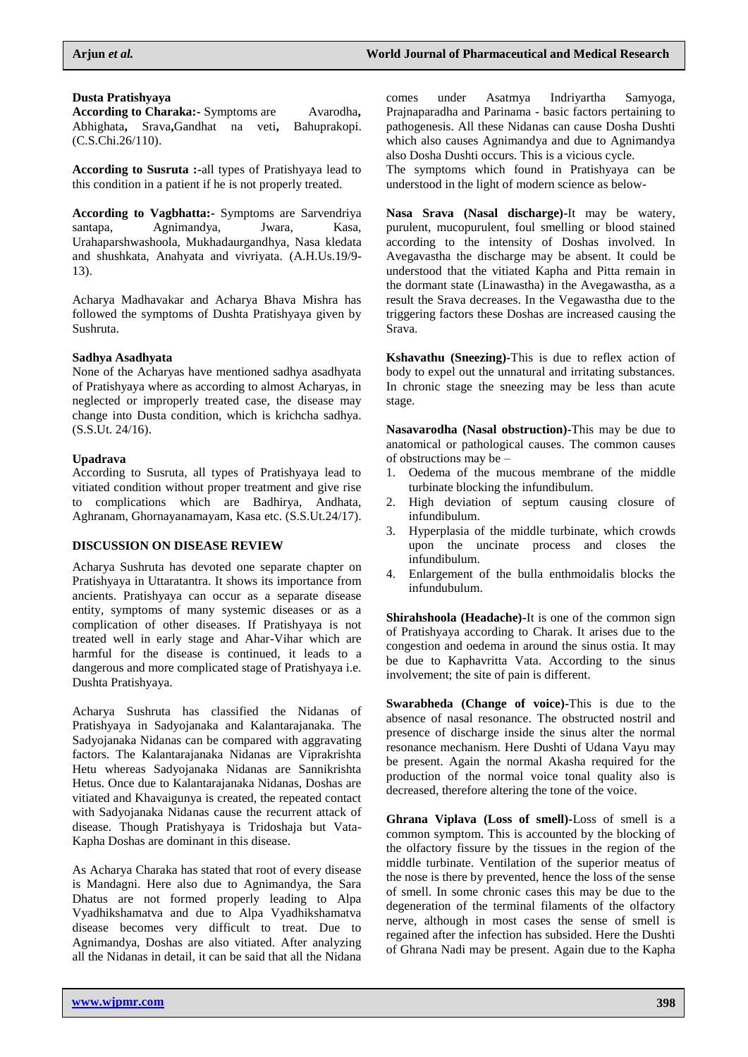### **Dusta Pratishyaya**

According to Charaka: Symptoms are Avarodha, Abhighata**,** Srava**,**Gandhat na veti**,** Bahuprakopi. (C.S.Chi.26/110).

**According to Susruta :-**all types of Pratishyaya lead to this condition in a patient if he is not properly treated.

**According to Vagbhatta:-** Symptoms are Sarvendriya santapa, Agnimandya, Jwara, Kasa, Urahaparshwashoola, Mukhadaurgandhya, Nasa kledata and shushkata, Anahyata and vivriyata. (A.H.Us.19/9- 13).

Acharya Madhavakar and Acharya Bhava Mishra has followed the symptoms of Dushta Pratishyaya given by Sushruta.

### **Sadhya Asadhyata**

None of the Acharyas have mentioned sadhya asadhyata of Pratishyaya where as according to almost Acharyas, in neglected or improperly treated case, the disease may change into Dusta condition, which is krichcha sadhya. (S.S.Ut. 24/16).

### **Upadrava**

According to Susruta, all types of Pratishyaya lead to vitiated condition without proper treatment and give rise to complications which are Badhirya, Andhata, Aghranam, Ghornayanamayam, Kasa etc. (S.S.Ut.24/17).

### **DISCUSSION ON DISEASE REVIEW**

Acharya Sushruta has devoted one separate chapter on Pratishyaya in Uttaratantra. It shows its importance from ancients. Pratishyaya can occur as a separate disease entity, symptoms of many systemic diseases or as a complication of other diseases. If Pratishyaya is not treated well in early stage and Ahar-Vihar which are harmful for the disease is continued, it leads to a dangerous and more complicated stage of Pratishyaya i.e. Dushta Pratishyaya.

Acharya Sushruta has classified the Nidanas of Pratishyaya in Sadyojanaka and Kalantarajanaka. The Sadyojanaka Nidanas can be compared with aggravating factors. The Kalantarajanaka Nidanas are Viprakrishta Hetu whereas Sadyojanaka Nidanas are Sannikrishta Hetus. Once due to Kalantarajanaka Nidanas, Doshas are vitiated and Khavaigunya is created, the repeated contact with Sadyojanaka Nidanas cause the recurrent attack of disease. Though Pratishyaya is Tridoshaja but Vata-Kapha Doshas are dominant in this disease.

As Acharya Charaka has stated that root of every disease is Mandagni. Here also due to Agnimandya, the Sara Dhatus are not formed properly leading to Alpa Vyadhikshamatva and due to Alpa Vyadhikshamatva disease becomes very difficult to treat. Due to Agnimandya, Doshas are also vitiated. After analyzing all the Nidanas in detail, it can be said that all the Nidana

comes under Asatmya Indriyartha Samyoga, Prajnaparadha and Parinama - basic factors pertaining to pathogenesis. All these Nidanas can cause Dosha Dushti which also causes Agnimandya and due to Agnimandya also Dosha Dushti occurs. This is a vicious cycle.

The symptoms which found in Pratishyaya can be understood in the light of modern science as below-

**Nasa Srava (Nasal discharge)-**It may be watery, purulent, mucopurulent, foul smelling or blood stained according to the intensity of Doshas involved. In Avegavastha the discharge may be absent. It could be understood that the vitiated Kapha and Pitta remain in the dormant state (Linawastha) in the Avegawastha, as a result the Srava decreases. In the Vegawastha due to the triggering factors these Doshas are increased causing the Srava.

**Kshavathu (Sneezing)-**This is due to reflex action of body to expel out the unnatural and irritating substances. In chronic stage the sneezing may be less than acute stage.

**Nasavarodha (Nasal obstruction)-**This may be due to anatomical or pathological causes. The common causes of obstructions may be –

- 1. Oedema of the mucous membrane of the middle turbinate blocking the infundibulum.
- 2. High deviation of septum causing closure of infundibulum.
- 3. Hyperplasia of the middle turbinate, which crowds upon the uncinate process and closes the infundibulum.
- 4. Enlargement of the bulla enthmoidalis blocks the infundubulum.

**Shirahshoola (Headache)-It is one of the common sign** of Pratishyaya according to Charak. It arises due to the congestion and oedema in around the sinus ostia. It may be due to Kaphavritta Vata. According to the sinus involvement; the site of pain is different.

**Swarabheda (Change of voice)-**This is due to the absence of nasal resonance. The obstructed nostril and presence of discharge inside the sinus alter the normal resonance mechanism. Here Dushti of Udana Vayu may be present. Again the normal Akasha required for the production of the normal voice tonal quality also is decreased, therefore altering the tone of the voice.

**Ghrana Viplava (Loss of smell)-**Loss of smell is a common symptom. This is accounted by the blocking of the olfactory fissure by the tissues in the region of the middle turbinate. Ventilation of the superior meatus of the nose is there by prevented, hence the loss of the sense of smell. In some chronic cases this may be due to the degeneration of the terminal filaments of the olfactory nerve, although in most cases the sense of smell is regained after the infection has subsided. Here the Dushti of Ghrana Nadi may be present. Again due to the Kapha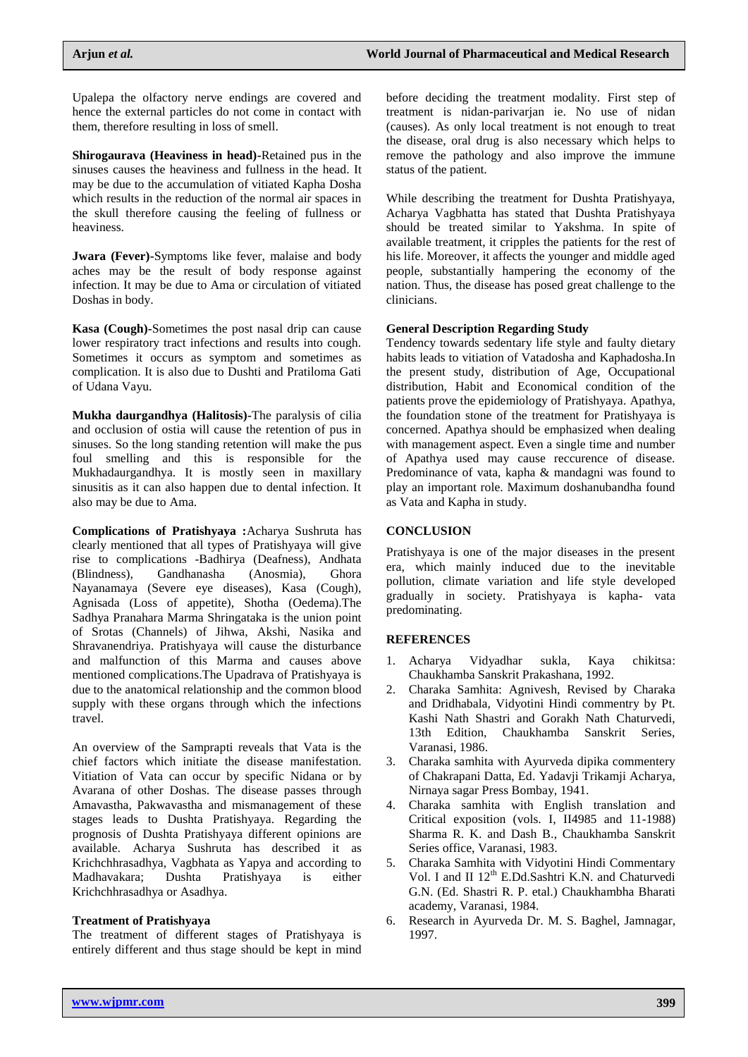Upalepa the olfactory nerve endings are covered and hence the external particles do not come in contact with them, therefore resulting in loss of smell.

**Shirogaurava (Heaviness in head)-**Retained pus in the sinuses causes the heaviness and fullness in the head. It may be due to the accumulation of vitiated Kapha Dosha which results in the reduction of the normal air spaces in the skull therefore causing the feeling of fullness or heaviness.

**Jwara (Fever)-**Symptoms like fever, malaise and body aches may be the result of body response against infection. It may be due to Ama or circulation of vitiated Doshas in body.

**Kasa (Cough)-**Sometimes the post nasal drip can cause lower respiratory tract infections and results into cough. Sometimes it occurs as symptom and sometimes as complication. It is also due to Dushti and Pratiloma Gati of Udana Vayu.

**Mukha daurgandhya (Halitosis)-**The paralysis of cilia and occlusion of ostia will cause the retention of pus in sinuses. So the long standing retention will make the pus foul smelling and this is responsible for the Mukhadaurgandhya. It is mostly seen in maxillary sinusitis as it can also happen due to dental infection. It also may be due to Ama.

**Complications of Pratishyaya :**Acharya Sushruta has clearly mentioned that all types of Pratishyaya will give rise to complications -Badhirya (Deafness), Andhata (Blindness), Gandhanasha (Anosmia), Ghora Nayanamaya (Severe eye diseases), Kasa (Cough), Agnisada (Loss of appetite), Shotha (Oedema).The Sadhya Pranahara Marma Shringataka is the union point of Srotas (Channels) of Jihwa, Akshi, Nasika and Shravanendriya. Pratishyaya will cause the disturbance and malfunction of this Marma and causes above mentioned complications.The Upadrava of Pratishyaya is due to the anatomical relationship and the common blood supply with these organs through which the infections travel.

An overview of the Samprapti reveals that Vata is the chief factors which initiate the disease manifestation. Vitiation of Vata can occur by specific Nidana or by Avarana of other Doshas. The disease passes through Amavastha, Pakwavastha and mismanagement of these stages leads to Dushta Pratishyaya. Regarding the prognosis of Dushta Pratishyaya different opinions are available. Acharya Sushruta has described it as Krichchhrasadhya, Vagbhata as Yapya and according to Madhavakara; Dushta Pratishyaya is either Krichchhrasadhya or Asadhya.

### **Treatment of Pratishyaya**

The treatment of different stages of Pratishyaya is entirely different and thus stage should be kept in mind before deciding the treatment modality. First step of treatment is nidan-parivarjan ie. No use of nidan (causes). As only local treatment is not enough to treat the disease, oral drug is also necessary which helps to remove the pathology and also improve the immune status of the patient.

While describing the treatment for Dushta Pratishyaya, Acharya Vagbhatta has stated that Dushta Pratishyaya should be treated similar to Yakshma. In spite of available treatment, it cripples the patients for the rest of his life. Moreover, it affects the younger and middle aged people, substantially hampering the economy of the nation. Thus, the disease has posed great challenge to the clinicians.

### **General Description Regarding Study**

Tendency towards sedentary life style and faulty dietary habits leads to vitiation of Vatadosha and Kaphadosha.In the present study, distribution of Age, Occupational distribution, Habit and Economical condition of the patients prove the epidemiology of Pratishyaya. Apathya, the foundation stone of the treatment for Pratishyaya is concerned. Apathya should be emphasized when dealing with management aspect. Even a single time and number of Apathya used may cause reccurence of disease. Predominance of vata, kapha & mandagni was found to play an important role. Maximum doshanubandha found as Vata and Kapha in study.

### **CONCLUSION**

Pratishyaya is one of the major diseases in the present era, which mainly induced due to the inevitable pollution, climate variation and life style developed gradually in society. Pratishyaya is kapha- vata predominating.

### **REFERENCES**

- 1. Acharya Vidyadhar sukla, Kaya chikitsa: Chaukhamba Sanskrit Prakashana, 1992.
- 2. Charaka Samhita: Agnivesh, Revised by Charaka and Dridhabala, Vidyotini Hindi commentry by Pt. Kashi Nath Shastri and Gorakh Nath Chaturvedi, 13th Edition, Chaukhamba Sanskrit Series, Varanasi, 1986.
- 3. Charaka samhita with Ayurveda dipika commentery of Chakrapani Datta, Ed. Yadavji Trikamji Acharya, Nirnaya sagar Press Bombay, 1941.
- 4. Charaka samhita with English translation and Critical exposition (vols. I, II4985 and 11-1988) Sharma R. K. and Dash B., Chaukhamba Sanskrit Series office, Varanasi, 1983.
- 5. Charaka Samhita with Vidyotini Hindi Commentary Vol. I and II  $12^{th}$  E.Dd.Sashtri K.N. and Chaturvedi G.N. (Ed. Shastri R. P. etal.) Chaukhambha Bharati academy, Varanasi, 1984.
- 6. Research in Ayurveda Dr. M. S. Baghel, Jamnagar, 1997.